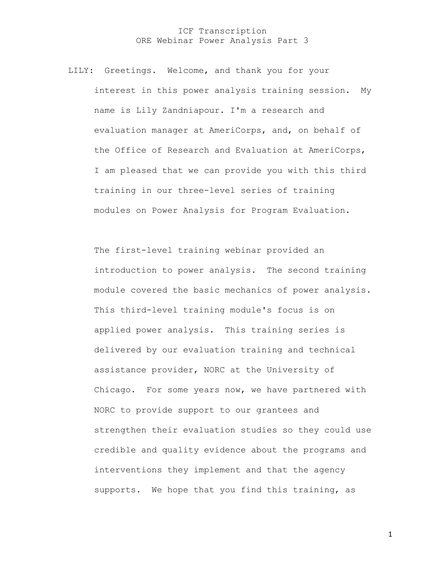LILY: Greetings. Welcome, and thank you for your interest in this power analysis training session. My name is Lily Zandniapour. I'm a research and evaluation manager at AmeriCorps, and, on behalf of the Office of Research and Evaluation at AmeriCorps, I am pleased that we can provide you with this third training in our three-level series of training modules on Power Analysis for Program Evaluation.

The first-level training webinar provided an introduction to power analysis. The second training module covered the basic mechanics of power analysis. This third-level training module's focus is on applied power analysis. This training series is delivered by our evaluation training and technical assistance provider, NORC at the University of Chicago. For some years now, we have partnered with NORC to provide support to our grantees and strengthen their evaluation studies so they could use credible and quality evidence about the programs and interventions they implement and that the agency supports. We hope that you find this training, as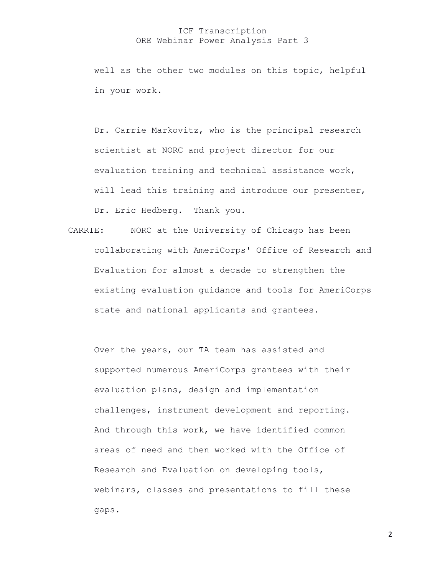well as the other two modules on this topic, helpful in your work.

 Dr. Carrie Markovitz, who is the principal research scientist at NORC and project director for our evaluation training and technical assistance work, will lead this training and introduce our presenter, Dr. Eric Hedberg. Thank you.

CARRIE: NORC at the University of Chicago has been collaborating with AmeriCorps' Office of Research and Evaluation for almost a decade to strengthen the existing evaluation guidance and tools for AmeriCorps state and national applicants and grantees.

 Over the years, our TA team has assisted and supported numerous AmeriCorps grantees with their evaluation plans, design and implementation challenges, instrument development and reporting. And through this work, we have identified common areas of need and then worked with the Office of Research and Evaluation on developing tools, webinars, classes and presentations to fill these gaps.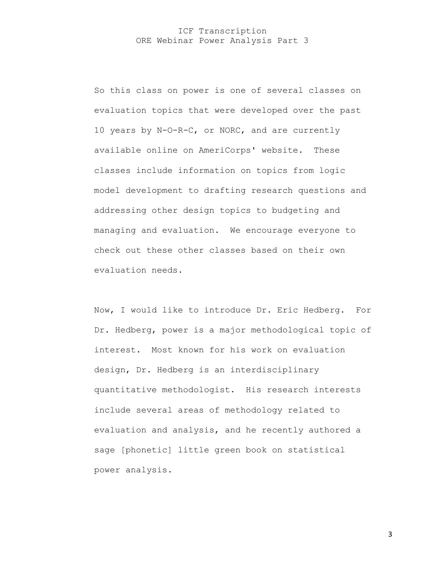So this class on power is one of several classes on evaluation topics that were developed over the past 10 years by N-O-R-C, or NORC, and are currently available online on AmeriCorps' website. These classes include information on topics from logic model development to drafting research questions and addressing other design topics to budgeting and managing and evaluation. We encourage everyone to check out these other classes based on their own evaluation needs.

 Now, I would like to introduce Dr. Eric Hedberg. For Dr. Hedberg, power is a major methodological topic of interest. Most known for his work on evaluation design, Dr. Hedberg is an interdisciplinary quantitative methodologist. His research interests include several areas of methodology related to evaluation and analysis, and he recently authored a sage [phonetic] little green book on statistical power analysis.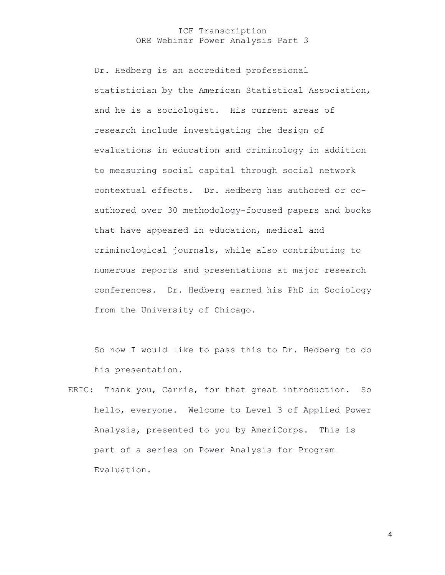Dr. Hedberg is an accredited professional statistician by the American Statistical Association, and he is a sociologist. His current areas of research include investigating the design of evaluations in education and criminology in addition to measuring social capital through social network contextual effects. Dr. Hedberg has authored or coauthored over 30 methodology-focused papers and books that have appeared in education, medical and criminological journals, while also contributing to numerous reports and presentations at major research conferences. Dr. Hedberg earned his PhD in Sociology from the University of Chicago.

 So now I would like to pass this to Dr. Hedberg to do his presentation.

ERIC: Thank you, Carrie, for that great introduction. So hello, everyone. Welcome to Level 3 of Applied Power Analysis, presented to you by AmeriCorps. This is part of a series on Power Analysis for Program Evaluation.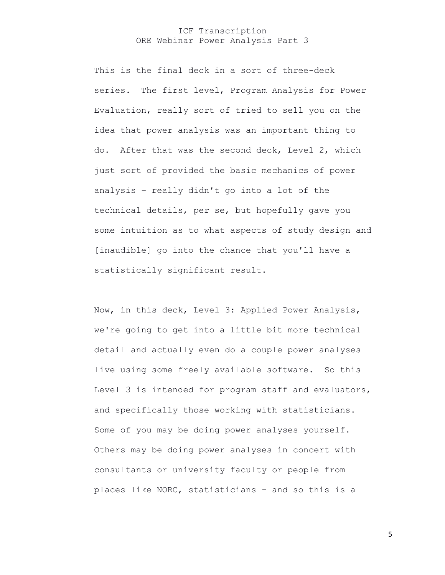This is the final deck in a sort of three-deck series. The first level, Program Analysis for Power Evaluation, really sort of tried to sell you on the idea that power analysis was an important thing to do. After that was the second deck, Level 2, which just sort of provided the basic mechanics of power analysis – really didn't go into a lot of the technical details, per se, but hopefully gave you some intuition as to what aspects of study design and [inaudible] go into the chance that you'll have a statistically significant result.

 Now, in this deck, Level 3: Applied Power Analysis, we're going to get into a little bit more technical detail and actually even do a couple power analyses live using some freely available software. So this Level 3 is intended for program staff and evaluators, and specifically those working with statisticians. Some of you may be doing power analyses yourself. Others may be doing power analyses in concert with consultants or university faculty or people from places like NORC, statisticians – and so this is a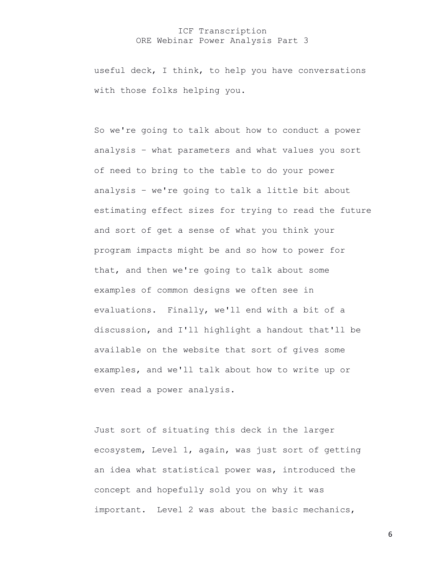useful deck, I think, to help you have conversations with those folks helping you.

 So we're going to talk about how to conduct a power analysis – what parameters and what values you sort of need to bring to the table to do your power analysis – we're going to talk a little bit about estimating effect sizes for trying to read the future and sort of get a sense of what you think your program impacts might be and so how to power for that, and then we're going to talk about some examples of common designs we often see in evaluations. Finally, we'll end with a bit of a discussion, and I'll highlight a handout that'll be available on the website that sort of gives some examples, and we'll talk about how to write up or even read a power analysis.

 Just sort of situating this deck in the larger ecosystem, Level 1, again, was just sort of getting an idea what statistical power was, introduced the concept and hopefully sold you on why it was important. Level 2 was about the basic mechanics,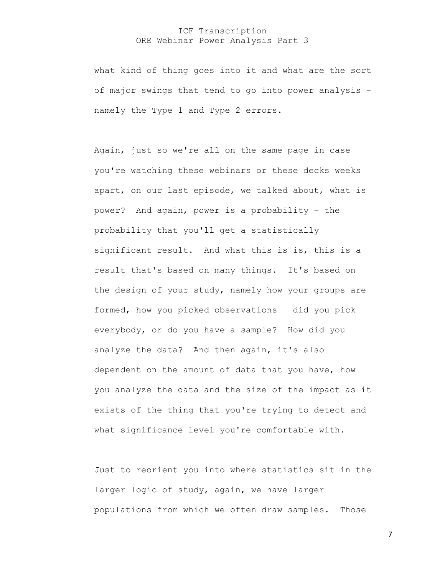what kind of thing goes into it and what are the sort of major swings that tend to go into power analysis – namely the Type 1 and Type 2 errors.

 Again, just so we're all on the same page in case you're watching these webinars or these decks weeks apart, on our last episode, we talked about, what is power? And again, power is a probability – the probability that you'll get a statistically significant result. And what this is is, this is a result that's based on many things. It's based on the design of your study, namely how your groups are formed, how you picked observations – did you pick everybody, or do you have a sample? How did you analyze the data? And then again, it's also dependent on the amount of data that you have, how you analyze the data and the size of the impact as it exists of the thing that you're trying to detect and what significance level you're comfortable with.

 Just to reorient you into where statistics sit in the larger logic of study, again, we have larger populations from which we often draw samples. Those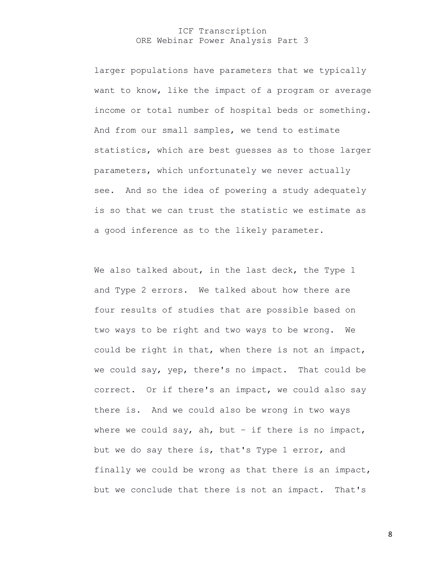larger populations have parameters that we typically want to know, like the impact of a program or average income or total number of hospital beds or something. And from our small samples, we tend to estimate statistics, which are best guesses as to those larger parameters, which unfortunately we never actually see. And so the idea of powering a study adequately is so that we can trust the statistic we estimate as a good inference as to the likely parameter.

We also talked about, in the last deck, the Type 1 and Type 2 errors. We talked about how there are four results of studies that are possible based on two ways to be right and two ways to be wrong. We could be right in that, when there is not an impact, we could say, yep, there's no impact. That could be correct. Or if there's an impact, we could also say there is. And we could also be wrong in two ways where we could say, ah, but - if there is no impact, but we do say there is, that's Type 1 error, and finally we could be wrong as that there is an impact, but we conclude that there is not an impact. That's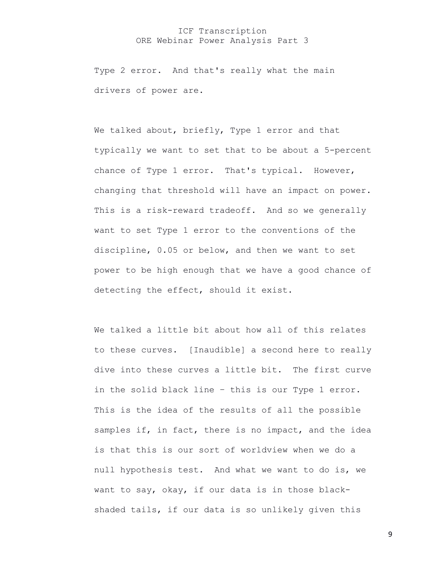Type 2 error. And that's really what the main drivers of power are.

We talked about, briefly, Type 1 error and that typically we want to set that to be about a 5-percent chance of Type 1 error. That's typical. However, changing that threshold will have an impact on power. This is a risk-reward tradeoff. And so we generally want to set Type 1 error to the conventions of the discipline, 0.05 or below, and then we want to set power to be high enough that we have a good chance of detecting the effect, should it exist.

 We talked a little bit about how all of this relates to these curves. [Inaudible] a second here to really dive into these curves a little bit. The first curve in the solid black line – this is our Type 1 error. This is the idea of the results of all the possible samples if, in fact, there is no impact, and the idea is that this is our sort of worldview when we do a null hypothesis test. And what we want to do is, we want to say, okay, if our data is in those blackshaded tails, if our data is so unlikely given this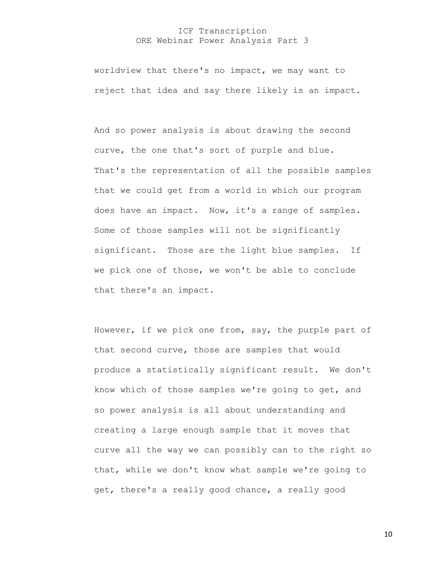worldview that there's no impact, we may want to reject that idea and say there likely is an impact.

 And so power analysis is about drawing the second curve, the one that's sort of purple and blue. That's the representation of all the possible samples that we could get from a world in which our program does have an impact. Now, it's a range of samples. Some of those samples will not be significantly significant. Those are the light blue samples. If we pick one of those, we won't be able to conclude that there's an impact.

 However, if we pick one from, say, the purple part of that second curve, those are samples that would produce a statistically significant result. We don't know which of those samples we're going to get, and so power analysis is all about understanding and creating a large enough sample that it moves that curve all the way we can possibly can to the right so that, while we don't know what sample we're going to get, there's a really good chance, a really good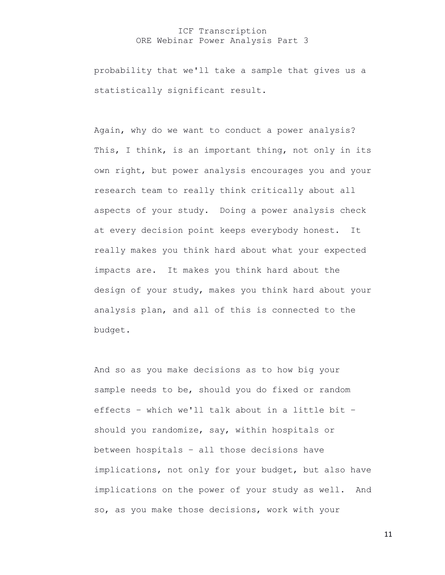probability that we'll take a sample that gives us a statistically significant result.

 Again, why do we want to conduct a power analysis? This, I think, is an important thing, not only in its own right, but power analysis encourages you and your research team to really think critically about all aspects of your study. Doing a power analysis check at every decision point keeps everybody honest. It really makes you think hard about what your expected impacts are. It makes you think hard about the design of your study, makes you think hard about your analysis plan, and all of this is connected to the budget.

 And so as you make decisions as to how big your sample needs to be, should you do fixed or random effects – which we'll talk about in a little bit – should you randomize, say, within hospitals or between hospitals – all those decisions have implications, not only for your budget, but also have implications on the power of your study as well. And so, as you make those decisions, work with your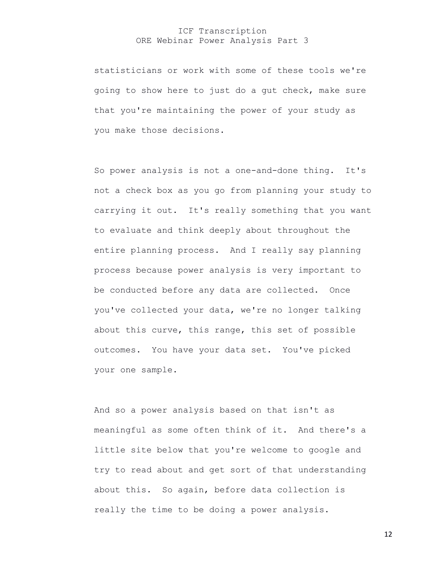statisticians or work with some of these tools we're going to show here to just do a gut check, make sure that you're maintaining the power of your study as you make those decisions.

 So power analysis is not a one-and-done thing. It's not a check box as you go from planning your study to carrying it out. It's really something that you want to evaluate and think deeply about throughout the entire planning process. And I really say planning process because power analysis is very important to be conducted before any data are collected. Once you've collected your data, we're no longer talking about this curve, this range, this set of possible outcomes. You have your data set. You've picked your one sample.

 And so a power analysis based on that isn't as meaningful as some often think of it. And there's a little site below that you're welcome to google and try to read about and get sort of that understanding about this. So again, before data collection is really the time to be doing a power analysis.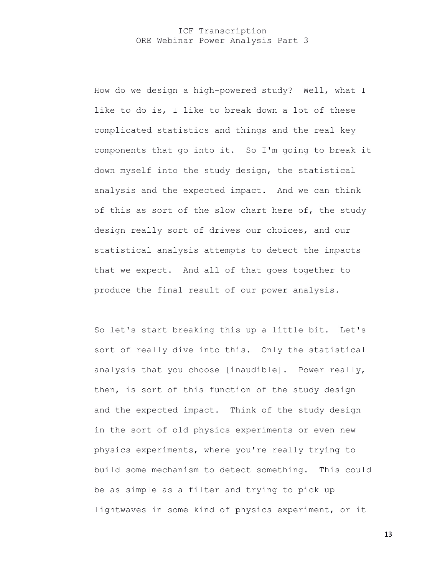How do we design a high-powered study? Well, what I like to do is, I like to break down a lot of these complicated statistics and things and the real key components that go into it. So I'm going to break it down myself into the study design, the statistical analysis and the expected impact. And we can think of this as sort of the slow chart here of, the study design really sort of drives our choices, and our statistical analysis attempts to detect the impacts that we expect. And all of that goes together to produce the final result of our power analysis.

 So let's start breaking this up a little bit. Let's sort of really dive into this. Only the statistical analysis that you choose [inaudible]. Power really, then, is sort of this function of the study design and the expected impact. Think of the study design in the sort of old physics experiments or even new physics experiments, where you're really trying to build some mechanism to detect something. This could be as simple as a filter and trying to pick up lightwaves in some kind of physics experiment, or it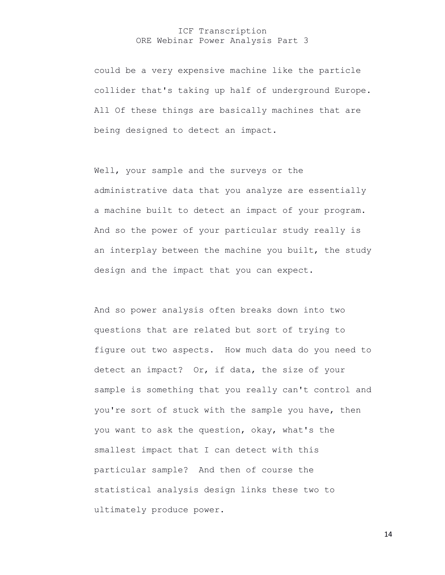could be a very expensive machine like the particle collider that's taking up half of underground Europe. All Of these things are basically machines that are being designed to detect an impact.

 Well, your sample and the surveys or the administrative data that you analyze are essentially a machine built to detect an impact of your program. And so the power of your particular study really is an interplay between the machine you built, the study design and the impact that you can expect.

 And so power analysis often breaks down into two questions that are related but sort of trying to figure out two aspects. How much data do you need to detect an impact? Or, if data, the size of your sample is something that you really can't control and you're sort of stuck with the sample you have, then you want to ask the question, okay, what's the smallest impact that I can detect with this particular sample? And then of course the statistical analysis design links these two to ultimately produce power.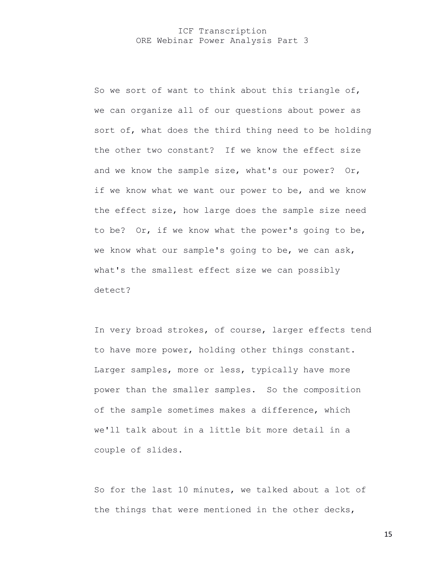So we sort of want to think about this triangle of, we can organize all of our questions about power as sort of, what does the third thing need to be holding the other two constant? If we know the effect size and we know the sample size, what's our power? Or, if we know what we want our power to be, and we know the effect size, how large does the sample size need to be? Or, if we know what the power's going to be, we know what our sample's going to be, we can ask, what's the smallest effect size we can possibly detect?

 In very broad strokes, of course, larger effects tend to have more power, holding other things constant. Larger samples, more or less, typically have more power than the smaller samples. So the composition of the sample sometimes makes a difference, which we'll talk about in a little bit more detail in a couple of slides.

 So for the last 10 minutes, we talked about a lot of the things that were mentioned in the other decks,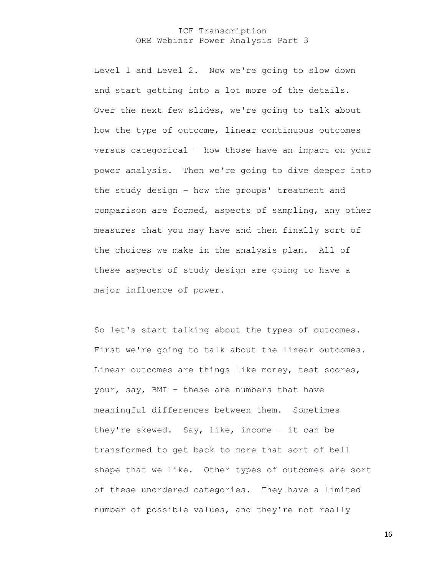Level 1 and Level 2. Now we're going to slow down and start getting into a lot more of the details. Over the next few slides, we're going to talk about how the type of outcome, linear continuous outcomes versus categorical – how those have an impact on your power analysis. Then we're going to dive deeper into the study design – how the groups' treatment and comparison are formed, aspects of sampling, any other measures that you may have and then finally sort of the choices we make in the analysis plan. All of these aspects of study design are going to have a major influence of power.

 So let's start talking about the types of outcomes. First we're going to talk about the linear outcomes. Linear outcomes are things like money, test scores, your, say, BMI – these are numbers that have meaningful differences between them. Sometimes they're skewed. Say, like, income – it can be transformed to get back to more that sort of bell shape that we like. Other types of outcomes are sort of these unordered categories. They have a limited number of possible values, and they're not really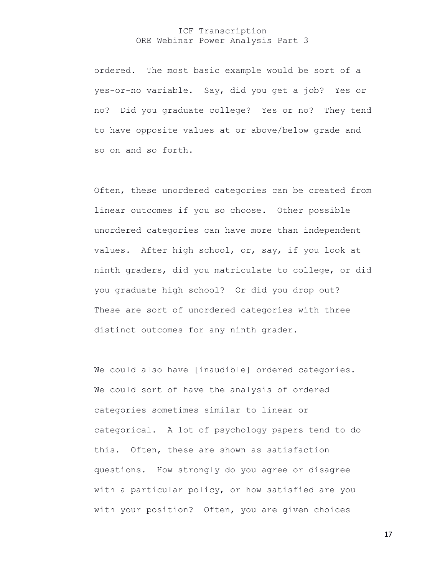ordered. The most basic example would be sort of a yes-or-no variable. Say, did you get a job? Yes or no? Did you graduate college? Yes or no? They tend to have opposite values at or above/below grade and so on and so forth.

 Often, these unordered categories can be created from linear outcomes if you so choose. Other possible unordered categories can have more than independent values. After high school, or, say, if you look at ninth graders, did you matriculate to college, or did you graduate high school? Or did you drop out? These are sort of unordered categories with three distinct outcomes for any ninth grader.

We could also have [inaudible] ordered categories. We could sort of have the analysis of ordered categories sometimes similar to linear or categorical. A lot of psychology papers tend to do this. Often, these are shown as satisfaction questions. How strongly do you agree or disagree with a particular policy, or how satisfied are you with your position? Often, you are given choices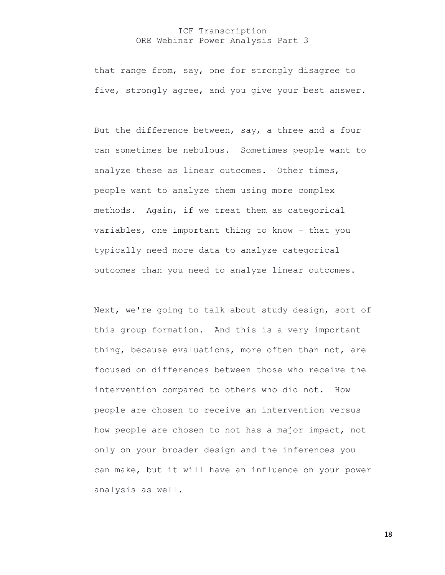that range from, say, one for strongly disagree to five, strongly agree, and you give your best answer.

But the difference between, say, a three and a four can sometimes be nebulous. Sometimes people want to analyze these as linear outcomes. Other times, people want to analyze them using more complex methods. Again, if we treat them as categorical variables, one important thing to know – that you typically need more data to analyze categorical outcomes than you need to analyze linear outcomes.

 Next, we're going to talk about study design, sort of this group formation. And this is a very important thing, because evaluations, more often than not, are focused on differences between those who receive the intervention compared to others who did not. How people are chosen to receive an intervention versus how people are chosen to not has a major impact, not only on your broader design and the inferences you can make, but it will have an influence on your power analysis as well.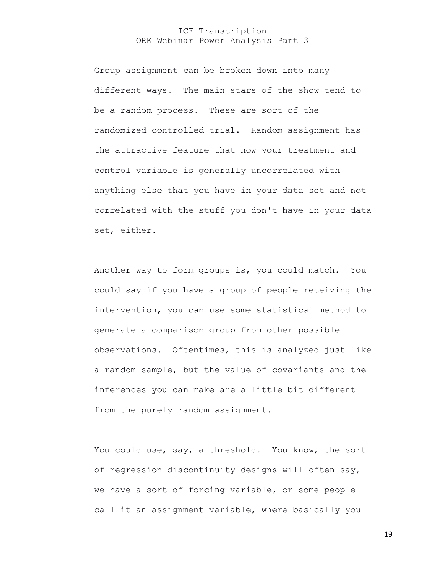Group assignment can be broken down into many different ways. The main stars of the show tend to be a random process. These are sort of the randomized controlled trial. Random assignment has the attractive feature that now your treatment and control variable is generally uncorrelated with anything else that you have in your data set and not correlated with the stuff you don't have in your data set, either.

 Another way to form groups is, you could match. You could say if you have a group of people receiving the intervention, you can use some statistical method to generate a comparison group from other possible observations. Oftentimes, this is analyzed just like a random sample, but the value of covariants and the inferences you can make are a little bit different from the purely random assignment.

 You could use, say, a threshold. You know, the sort of regression discontinuity designs will often say, we have a sort of forcing variable, or some people call it an assignment variable, where basically you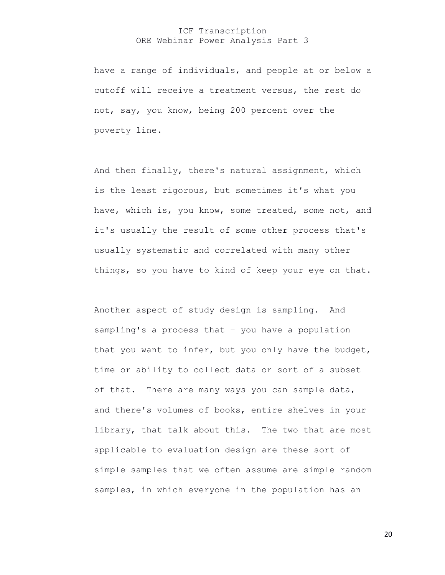have a range of individuals, and people at or below a cutoff will receive a treatment versus, the rest do not, say, you know, being 200 percent over the poverty line.

 And then finally, there's natural assignment, which is the least rigorous, but sometimes it's what you have, which is, you know, some treated, some not, and it's usually the result of some other process that's usually systematic and correlated with many other things, so you have to kind of keep your eye on that.

 Another aspect of study design is sampling. And sampling's a process that – you have a population that you want to infer, but you only have the budget, time or ability to collect data or sort of a subset of that. There are many ways you can sample data, and there's volumes of books, entire shelves in your library, that talk about this. The two that are most applicable to evaluation design are these sort of simple samples that we often assume are simple random samples, in which everyone in the population has an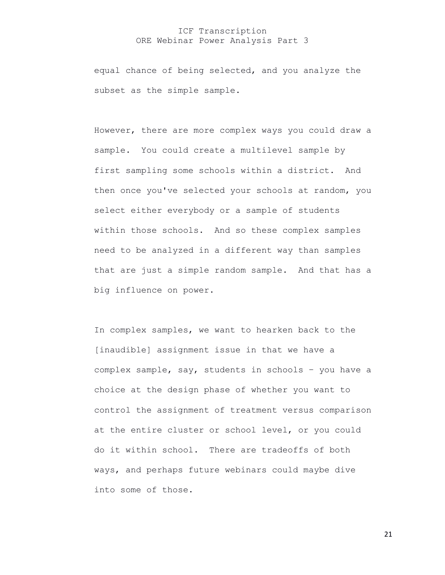equal chance of being selected, and you analyze the subset as the simple sample.

 However, there are more complex ways you could draw a sample. You could create a multilevel sample by first sampling some schools within a district. And then once you've selected your schools at random, you select either everybody or a sample of students within those schools. And so these complex samples need to be analyzed in a different way than samples that are just a simple random sample. And that has a big influence on power.

 In complex samples, we want to hearken back to the [inaudible] assignment issue in that we have a complex sample, say, students in schools – you have a choice at the design phase of whether you want to control the assignment of treatment versus comparison at the entire cluster or school level, or you could do it within school. There are tradeoffs of both ways, and perhaps future webinars could maybe dive into some of those.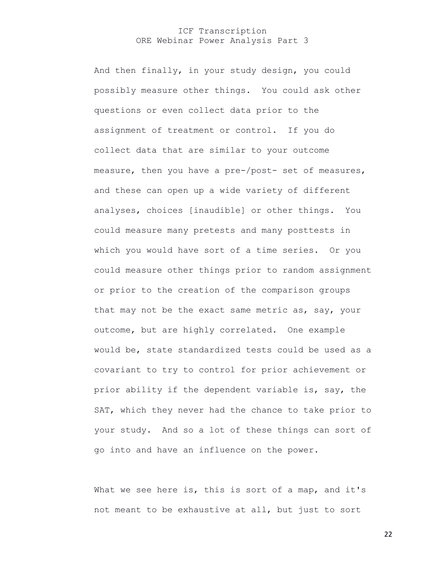And then finally, in your study design, you could possibly measure other things. You could ask other questions or even collect data prior to the assignment of treatment or control. If you do collect data that are similar to your outcome measure, then you have a pre-/post- set of measures, and these can open up a wide variety of different analyses, choices [inaudible] or other things. You could measure many pretests and many posttests in which you would have sort of a time series. Or you could measure other things prior to random assignment or prior to the creation of the comparison groups that may not be the exact same metric as, say, your outcome, but are highly correlated. One example would be, state standardized tests could be used as a covariant to try to control for prior achievement or prior ability if the dependent variable is, say, the SAT, which they never had the chance to take prior to your study. And so a lot of these things can sort of go into and have an influence on the power.

What we see here is, this is sort of a map, and it's not meant to be exhaustive at all, but just to sort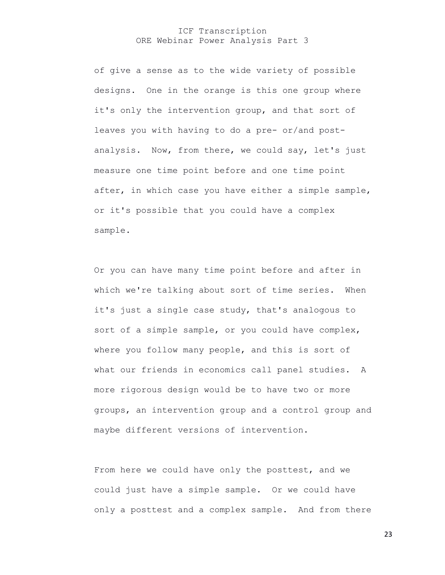of give a sense as to the wide variety of possible designs. One in the orange is this one group where it's only the intervention group, and that sort of leaves you with having to do a pre- or/and postanalysis. Now, from there, we could say, let's just measure one time point before and one time point after, in which case you have either a simple sample, or it's possible that you could have a complex sample.

 Or you can have many time point before and after in which we're talking about sort of time series. When it's just a single case study, that's analogous to sort of a simple sample, or you could have complex, where you follow many people, and this is sort of what our friends in economics call panel studies. A more rigorous design would be to have two or more groups, an intervention group and a control group and maybe different versions of intervention.

 From here we could have only the posttest, and we could just have a simple sample. Or we could have only a posttest and a complex sample. And from there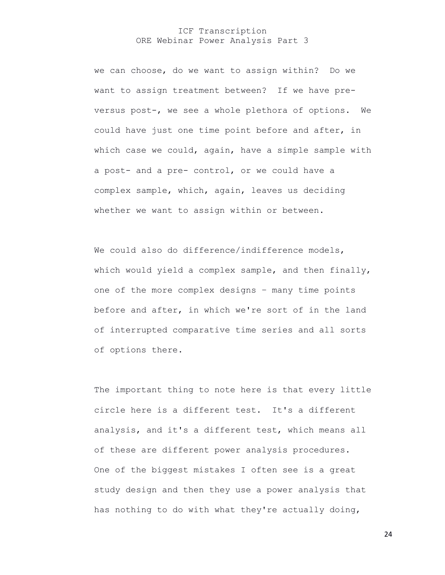we can choose, do we want to assign within? Do we want to assign treatment between? If we have preversus post-, we see a whole plethora of options. We could have just one time point before and after, in which case we could, again, have a simple sample with a post- and a pre- control, or we could have a complex sample, which, again, leaves us deciding whether we want to assign within or between.

We could also do difference/indifference models, which would yield a complex sample, and then finally, one of the more complex designs – many time points before and after, in which we're sort of in the land of interrupted comparative time series and all sorts of options there.

 The important thing to note here is that every little circle here is a different test. It's a different analysis, and it's a different test, which means all of these are different power analysis procedures. One of the biggest mistakes I often see is a great study design and then they use a power analysis that has nothing to do with what they're actually doing,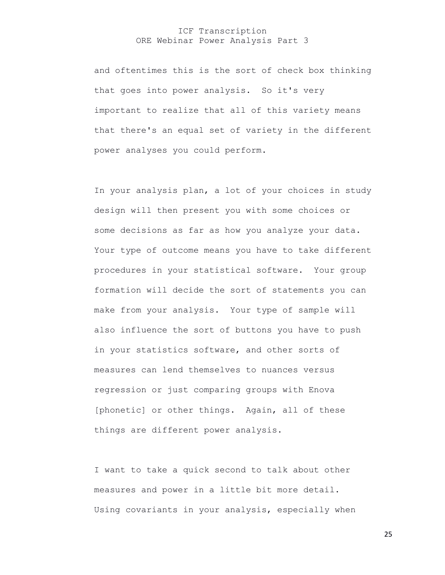and oftentimes this is the sort of check box thinking that goes into power analysis. So it's very important to realize that all of this variety means that there's an equal set of variety in the different power analyses you could perform.

 In your analysis plan, a lot of your choices in study design will then present you with some choices or some decisions as far as how you analyze your data. Your type of outcome means you have to take different procedures in your statistical software. Your group formation will decide the sort of statements you can make from your analysis. Your type of sample will also influence the sort of buttons you have to push in your statistics software, and other sorts of measures can lend themselves to nuances versus regression or just comparing groups with Enova [phonetic] or other things. Again, all of these things are different power analysis.

 I want to take a quick second to talk about other measures and power in a little bit more detail. Using covariants in your analysis, especially when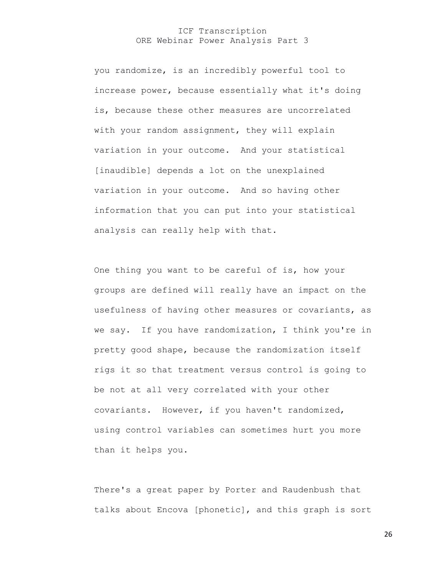you randomize, is an incredibly powerful tool to increase power, because essentially what it's doing is, because these other measures are uncorrelated with your random assignment, they will explain variation in your outcome. And your statistical [inaudible] depends a lot on the unexplained variation in your outcome. And so having other information that you can put into your statistical analysis can really help with that.

 One thing you want to be careful of is, how your groups are defined will really have an impact on the usefulness of having other measures or covariants, as we say. If you have randomization, I think you're in pretty good shape, because the randomization itself rigs it so that treatment versus control is going to be not at all very correlated with your other covariants. However, if you haven't randomized, using control variables can sometimes hurt you more than it helps you.

 There's a great paper by Porter and Raudenbush that talks about Encova [phonetic], and this graph is sort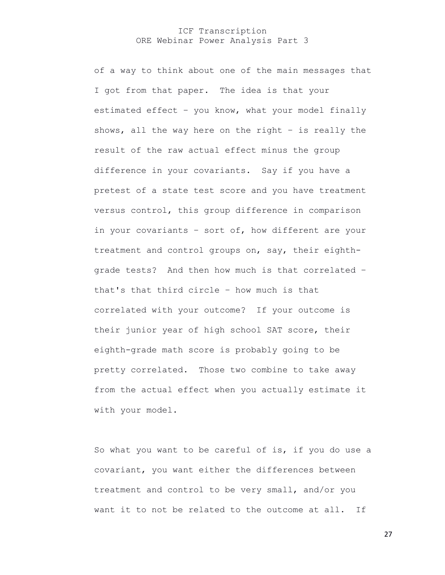of a way to think about one of the main messages that I got from that paper. The idea is that your estimated effect – you know, what your model finally shows, all the way here on the right – is really the result of the raw actual effect minus the group difference in your covariants. Say if you have a pretest of a state test score and you have treatment versus control, this group difference in comparison in your covariants – sort of, how different are your treatment and control groups on, say, their eighthgrade tests? And then how much is that correlated – that's that third circle – how much is that correlated with your outcome? If your outcome is their junior year of high school SAT score, their eighth-grade math score is probably going to be pretty correlated. Those two combine to take away from the actual effect when you actually estimate it with your model.

 So what you want to be careful of is, if you do use a covariant, you want either the differences between treatment and control to be very small, and/or you want it to not be related to the outcome at all. If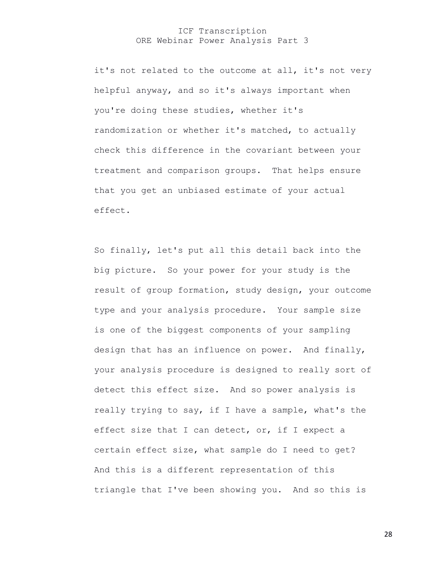it's not related to the outcome at all, it's not very helpful anyway, and so it's always important when you're doing these studies, whether it's randomization or whether it's matched, to actually check this difference in the covariant between your treatment and comparison groups. That helps ensure that you get an unbiased estimate of your actual effect.

 So finally, let's put all this detail back into the big picture. So your power for your study is the result of group formation, study design, your outcome type and your analysis procedure. Your sample size is one of the biggest components of your sampling design that has an influence on power. And finally, your analysis procedure is designed to really sort of detect this effect size. And so power analysis is really trying to say, if I have a sample, what's the effect size that I can detect, or, if I expect a certain effect size, what sample do I need to get? And this is a different representation of this triangle that I've been showing you. And so this is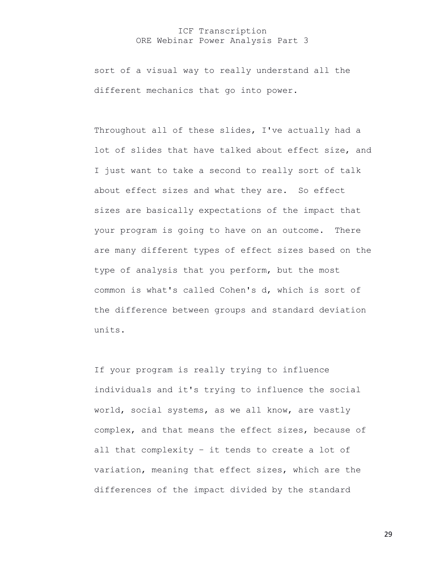sort of a visual way to really understand all the different mechanics that go into power.

 Throughout all of these slides, I've actually had a lot of slides that have talked about effect size, and I just want to take a second to really sort of talk about effect sizes and what they are. So effect sizes are basically expectations of the impact that your program is going to have on an outcome. There are many different types of effect sizes based on the type of analysis that you perform, but the most common is what's called Cohen's d, which is sort of the difference between groups and standard deviation units.

 If your program is really trying to influence individuals and it's trying to influence the social world, social systems, as we all know, are vastly complex, and that means the effect sizes, because of all that complexity – it tends to create a lot of variation, meaning that effect sizes, which are the differences of the impact divided by the standard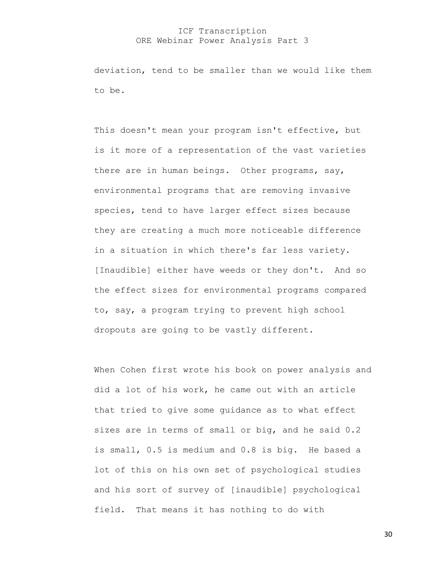deviation, tend to be smaller than we would like them to be.

 This doesn't mean your program isn't effective, but is it more of a representation of the vast varieties there are in human beings. Other programs, say, environmental programs that are removing invasive species, tend to have larger effect sizes because they are creating a much more noticeable difference in a situation in which there's far less variety. [Inaudible] either have weeds or they don't. And so the effect sizes for environmental programs compared to, say, a program trying to prevent high school dropouts are going to be vastly different.

 When Cohen first wrote his book on power analysis and did a lot of his work, he came out with an article that tried to give some guidance as to what effect sizes are in terms of small or big, and he said 0.2 is small, 0.5 is medium and 0.8 is big. He based a lot of this on his own set of psychological studies and his sort of survey of [inaudible] psychological field. That means it has nothing to do with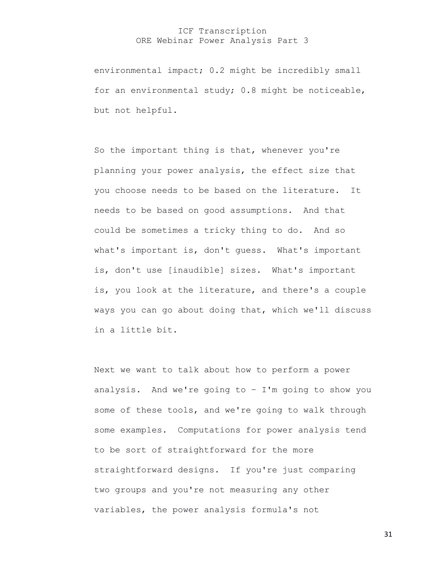environmental impact; 0.2 might be incredibly small for an environmental study; 0.8 might be noticeable, but not helpful.

 So the important thing is that, whenever you're planning your power analysis, the effect size that you choose needs to be based on the literature. It needs to be based on good assumptions. And that could be sometimes a tricky thing to do. And so what's important is, don't guess. What's important is, don't use [inaudible] sizes. What's important is, you look at the literature, and there's a couple ways you can go about doing that, which we'll discuss in a little bit.

 Next we want to talk about how to perform a power analysis. And we're going to – I'm going to show you some of these tools, and we're going to walk through some examples. Computations for power analysis tend to be sort of straightforward for the more straightforward designs. If you're just comparing two groups and you're not measuring any other variables, the power analysis formula's not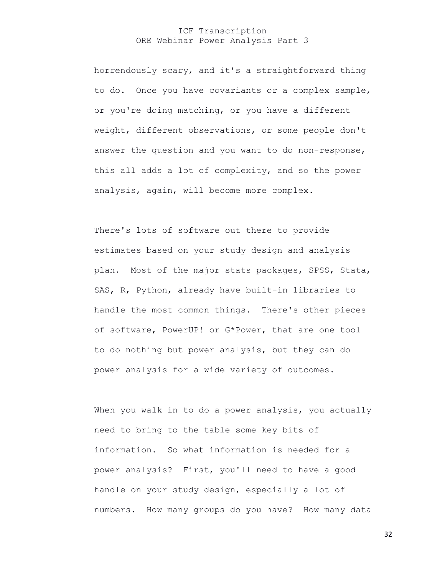horrendously scary, and it's a straightforward thing to do. Once you have covariants or a complex sample, or you're doing matching, or you have a different weight, different observations, or some people don't answer the question and you want to do non-response, this all adds a lot of complexity, and so the power analysis, again, will become more complex.

 There's lots of software out there to provide estimates based on your study design and analysis plan. Most of the major stats packages, SPSS, Stata, SAS, R, Python, already have built-in libraries to handle the most common things. There's other pieces of software, PowerUP! or G\*Power, that are one tool to do nothing but power analysis, but they can do power analysis for a wide variety of outcomes.

 When you walk in to do a power analysis, you actually need to bring to the table some key bits of information. So what information is needed for a power analysis? First, you'll need to have a good handle on your study design, especially a lot of numbers. How many groups do you have? How many data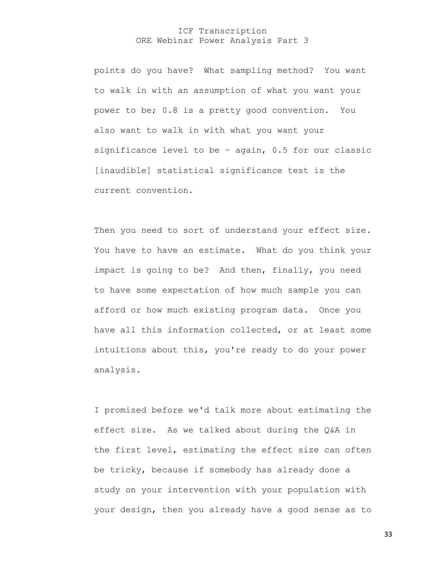points do you have? What sampling method? You want to walk in with an assumption of what you want your power to be; 0.8 is a pretty good convention. You also want to walk in with what you want your significance level to be – again, 0.5 for our classic [inaudible] statistical significance test is the current convention.

 Then you need to sort of understand your effect size. You have to have an estimate. What do you think your impact is going to be? And then, finally, you need to have some expectation of how much sample you can afford or how much existing program data. Once you have all this information collected, or at least some intuitions about this, you're ready to do your power analysis.

 I promised before we'd talk more about estimating the effect size. As we talked about during the Q&A in the first level, estimating the effect size can often be tricky, because if somebody has already done a study on your intervention with your population with your design, then you already have a good sense as to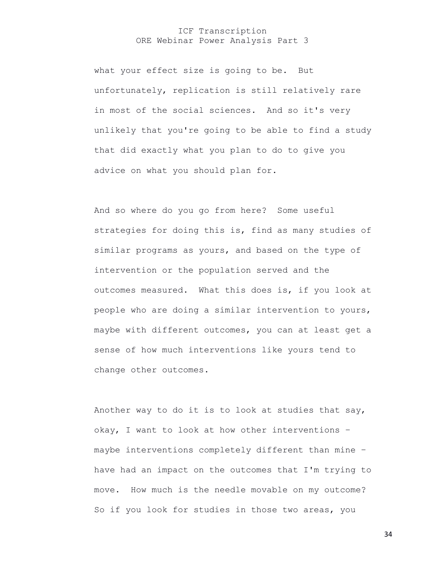what your effect size is going to be. But unfortunately, replication is still relatively rare in most of the social sciences. And so it's very unlikely that you're going to be able to find a study that did exactly what you plan to do to give you advice on what you should plan for.

 And so where do you go from here? Some useful strategies for doing this is, find as many studies of similar programs as yours, and based on the type of intervention or the population served and the outcomes measured. What this does is, if you look at people who are doing a similar intervention to yours, maybe with different outcomes, you can at least get a sense of how much interventions like yours tend to change other outcomes.

 Another way to do it is to look at studies that say, okay, I want to look at how other interventions – maybe interventions completely different than mine – have had an impact on the outcomes that I'm trying to move. How much is the needle movable on my outcome? So if you look for studies in those two areas, you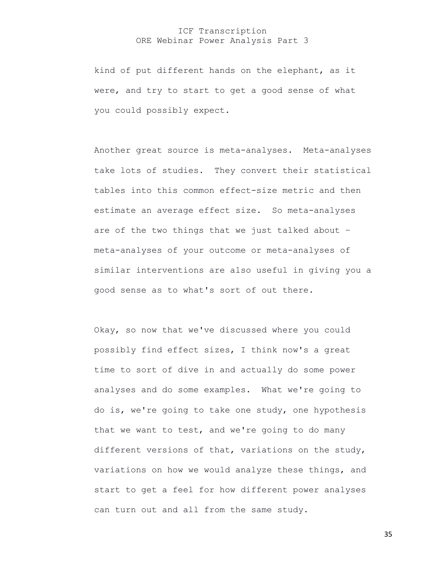kind of put different hands on the elephant, as it were, and try to start to get a good sense of what you could possibly expect.

 Another great source is meta-analyses. Meta-analyses take lots of studies. They convert their statistical tables into this common effect-size metric and then estimate an average effect size. So meta-analyses are of the two things that we just talked about – meta-analyses of your outcome or meta-analyses of similar interventions are also useful in giving you a good sense as to what's sort of out there.

 Okay, so now that we've discussed where you could possibly find effect sizes, I think now's a great time to sort of dive in and actually do some power analyses and do some examples. What we're going to do is, we're going to take one study, one hypothesis that we want to test, and we're going to do many different versions of that, variations on the study, variations on how we would analyze these things, and start to get a feel for how different power analyses can turn out and all from the same study.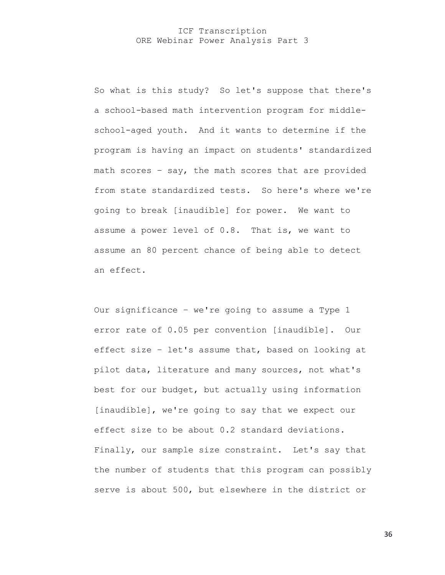So what is this study? So let's suppose that there's a school-based math intervention program for middleschool-aged youth. And it wants to determine if the program is having an impact on students' standardized math scores – say, the math scores that are provided from state standardized tests. So here's where we're going to break [inaudible] for power. We want to assume a power level of 0.8. That is, we want to assume an 80 percent chance of being able to detect an effect.

 Our significance – we're going to assume a Type 1 error rate of 0.05 per convention [inaudible]. Our effect size – let's assume that, based on looking at pilot data, literature and many sources, not what's best for our budget, but actually using information [inaudible], we're going to say that we expect our effect size to be about 0.2 standard deviations. Finally, our sample size constraint. Let's say that the number of students that this program can possibly serve is about 500, but elsewhere in the district or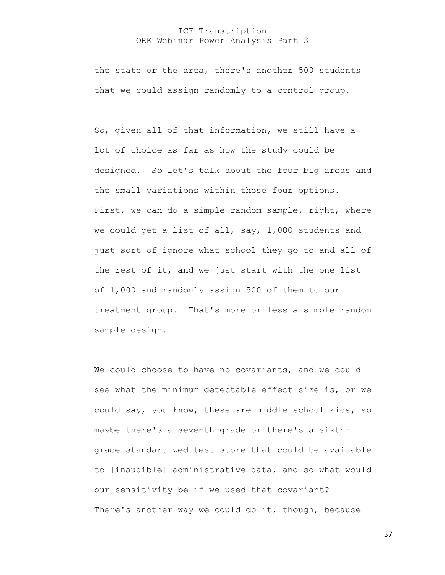the state or the area, there's another 500 students that we could assign randomly to a control group.

 So, given all of that information, we still have a lot of choice as far as how the study could be designed. So let's talk about the four big areas and the small variations within those four options. First, we can do a simple random sample, right, where we could get a list of all, say, 1,000 students and just sort of ignore what school they go to and all of the rest of it, and we just start with the one list of 1,000 and randomly assign 500 of them to our treatment group. That's more or less a simple random sample design.

 We could choose to have no covariants, and we could see what the minimum detectable effect size is, or we could say, you know, these are middle school kids, so maybe there's a seventh-grade or there's a sixthgrade standardized test score that could be available to [inaudible] administrative data, and so what would our sensitivity be if we used that covariant? There's another way we could do it, though, because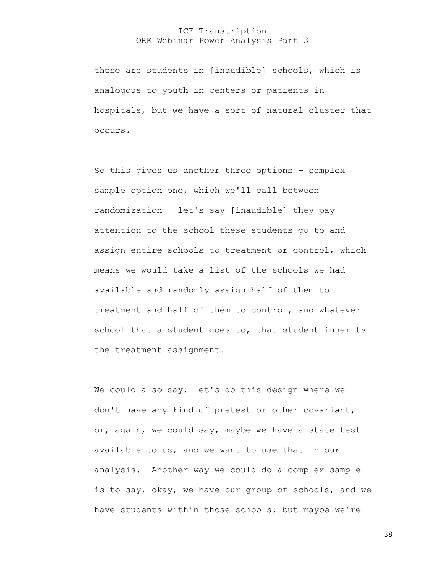these are students in [inaudible] schools, which is analogous to youth in centers or patients in hospitals, but we have a sort of natural cluster that occurs.

 So this gives us another three options – complex sample option one, which we'll call between randomization – let's say [inaudible] they pay attention to the school these students go to and assign entire schools to treatment or control, which means we would take a list of the schools we had available and randomly assign half of them to treatment and half of them to control, and whatever school that a student goes to, that student inherits the treatment assignment.

 We could also say, let's do this design where we don't have any kind of pretest or other covariant, or, again, we could say, maybe we have a state test available to us, and we want to use that in our analysis. Another way we could do a complex sample is to say, okay, we have our group of schools, and we have students within those schools, but maybe we're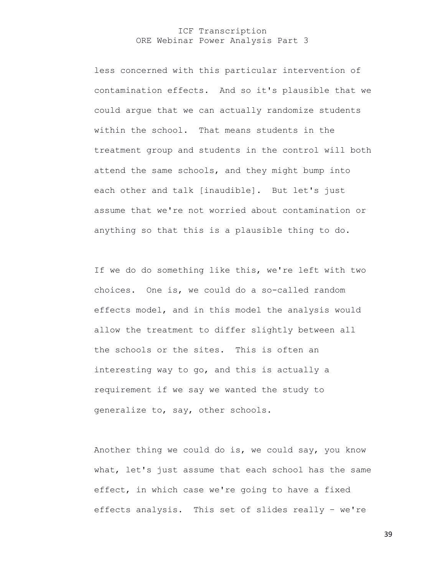less concerned with this particular intervention of contamination effects. And so it's plausible that we could argue that we can actually randomize students within the school. That means students in the treatment group and students in the control will both attend the same schools, and they might bump into each other and talk [inaudible]. But let's just assume that we're not worried about contamination or anything so that this is a plausible thing to do.

 If we do do something like this, we're left with two choices. One is, we could do a so-called random effects model, and in this model the analysis would allow the treatment to differ slightly between all the schools or the sites. This is often an interesting way to go, and this is actually a requirement if we say we wanted the study to generalize to, say, other schools.

 Another thing we could do is, we could say, you know what, let's just assume that each school has the same effect, in which case we're going to have a fixed effects analysis. This set of slides really – we're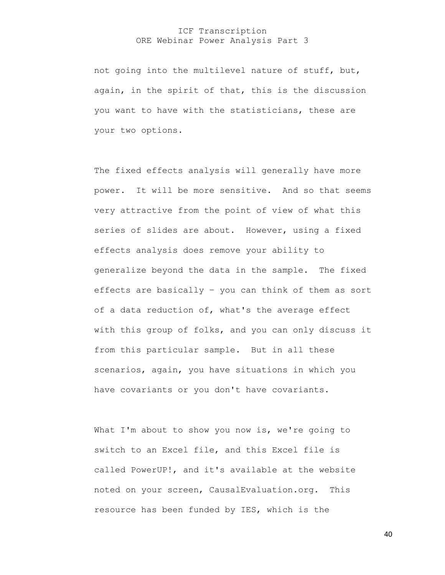not going into the multilevel nature of stuff, but, again, in the spirit of that, this is the discussion you want to have with the statisticians, these are your two options.

 The fixed effects analysis will generally have more power. It will be more sensitive. And so that seems very attractive from the point of view of what this series of slides are about. However, using a fixed effects analysis does remove your ability to generalize beyond the data in the sample. The fixed effects are basically – you can think of them as sort of a data reduction of, what's the average effect with this group of folks, and you can only discuss it from this particular sample. But in all these scenarios, again, you have situations in which you have covariants or you don't have covariants.

What I'm about to show you now is, we're going to switch to an Excel file, and this Excel file is called PowerUP!, and it's available at the website noted on your screen, CausalEvaluation.org. This resource has been funded by IES, which is the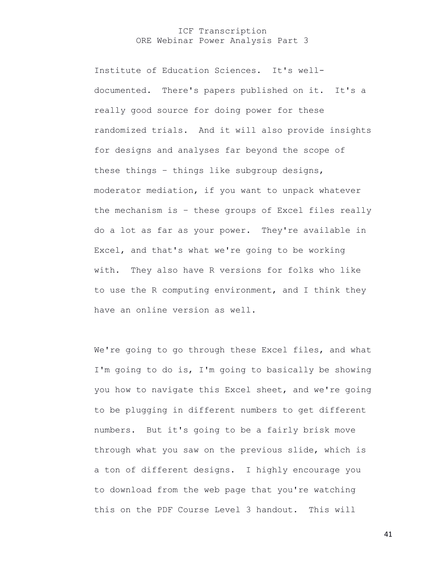Institute of Education Sciences. It's welldocumented. There's papers published on it. It's a really good source for doing power for these randomized trials. And it will also provide insights for designs and analyses far beyond the scope of these things – things like subgroup designs, moderator mediation, if you want to unpack whatever the mechanism is – these groups of Excel files really do a lot as far as your power. They're available in Excel, and that's what we're going to be working with. They also have R versions for folks who like to use the R computing environment, and I think they have an online version as well.

 We're going to go through these Excel files, and what I'm going to do is, I'm going to basically be showing you how to navigate this Excel sheet, and we're going to be plugging in different numbers to get different numbers. But it's going to be a fairly brisk move through what you saw on the previous slide, which is a ton of different designs. I highly encourage you to download from the web page that you're watching this on the PDF Course Level 3 handout. This will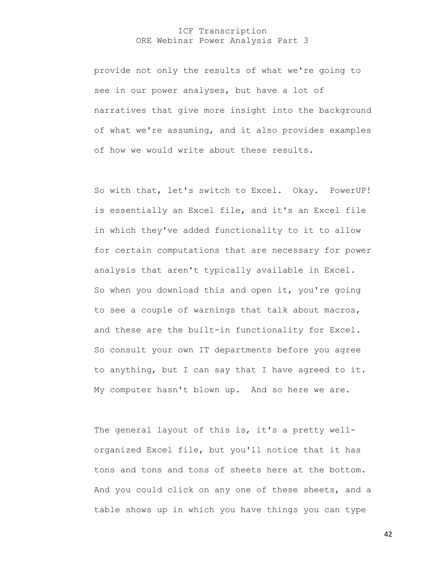provide not only the results of what we're going to see in our power analyses, but have a lot of narratives that give more insight into the background of what we're assuming, and it also provides examples of how we would write about these results.

 So with that, let's switch to Excel. Okay. PowerUP! is essentially an Excel file, and it's an Excel file in which they've added functionality to it to allow for certain computations that are necessary for power analysis that aren't typically available in Excel. So when you download this and open it, you're going to see a couple of warnings that talk about macros, and these are the built-in functionality for Excel. So consult your own IT departments before you agree to anything, but I can say that I have agreed to it. My computer hasn't blown up. And so here we are.

The general layout of this is, it's a pretty wellorganized Excel file, but you'll notice that it has tons and tons and tons of sheets here at the bottom. And you could click on any one of these sheets, and a table shows up in which you have things you can type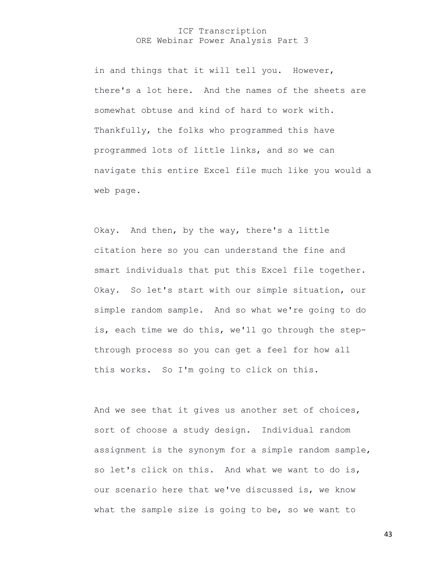in and things that it will tell you. However, there's a lot here. And the names of the sheets are somewhat obtuse and kind of hard to work with. Thankfully, the folks who programmed this have programmed lots of little links, and so we can navigate this entire Excel file much like you would a web page.

 Okay. And then, by the way, there's a little citation here so you can understand the fine and smart individuals that put this Excel file together. Okay. So let's start with our simple situation, our simple random sample. And so what we're going to do is, each time we do this, we'll go through the stepthrough process so you can get a feel for how all this works. So I'm going to click on this.

 And we see that it gives us another set of choices, sort of choose a study design. Individual random assignment is the synonym for a simple random sample, so let's click on this. And what we want to do is, our scenario here that we've discussed is, we know what the sample size is going to be, so we want to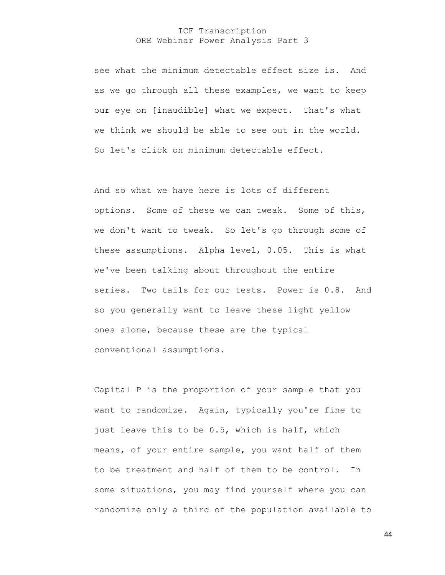see what the minimum detectable effect size is. And as we go through all these examples, we want to keep our eye on [inaudible] what we expect. That's what we think we should be able to see out in the world. So let's click on minimum detectable effect.

 And so what we have here is lots of different options. Some of these we can tweak. Some of this, we don't want to tweak. So let's go through some of these assumptions. Alpha level, 0.05. This is what we've been talking about throughout the entire series. Two tails for our tests. Power is 0.8. And so you generally want to leave these light yellow ones alone, because these are the typical conventional assumptions.

 Capital P is the proportion of your sample that you want to randomize. Again, typically you're fine to just leave this to be 0.5, which is half, which means, of your entire sample, you want half of them to be treatment and half of them to be control. In some situations, you may find yourself where you can randomize only a third of the population available to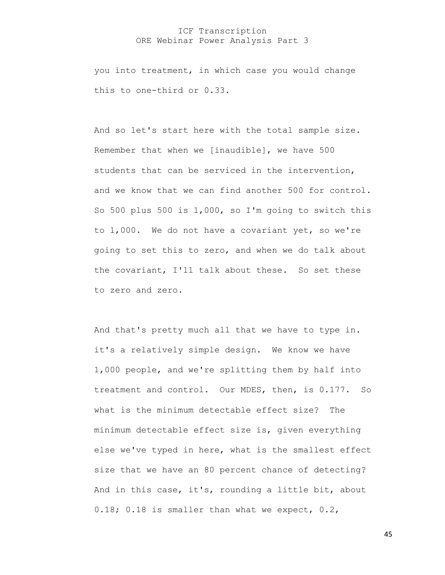you into treatment, in which case you would change this to one-third or 0.33.

 And so let's start here with the total sample size. Remember that when we [inaudible], we have 500 students that can be serviced in the intervention, and we know that we can find another 500 for control. So 500 plus 500 is 1,000, so I'm going to switch this to 1,000. We do not have a covariant yet, so we're going to set this to zero, and when we do talk about the covariant, I'll talk about these. So set these to zero and zero.

 And that's pretty much all that we have to type in. it's a relatively simple design. We know we have 1,000 people, and we're splitting them by half into treatment and control. Our MDES, then, is 0.177. So what is the minimum detectable effect size? The minimum detectable effect size is, given everything else we've typed in here, what is the smallest effect size that we have an 80 percent chance of detecting? And in this case, it's, rounding a little bit, about 0.18; 0.18 is smaller than what we expect, 0.2,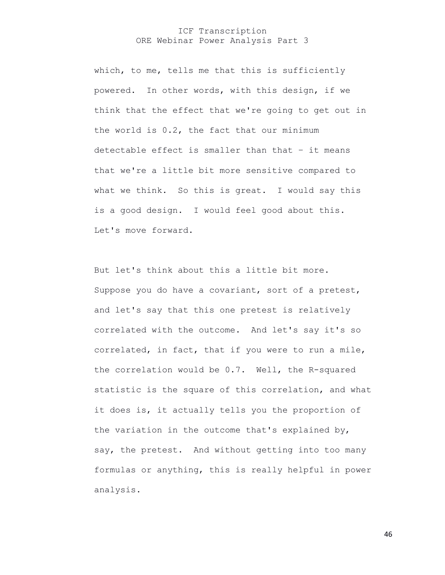which, to me, tells me that this is sufficiently powered. In other words, with this design, if we think that the effect that we're going to get out in the world is 0.2, the fact that our minimum detectable effect is smaller than that – it means that we're a little bit more sensitive compared to what we think. So this is great. I would say this is a good design. I would feel good about this. Let's move forward.

 But let's think about this a little bit more. Suppose you do have a covariant, sort of a pretest, and let's say that this one pretest is relatively correlated with the outcome. And let's say it's so correlated, in fact, that if you were to run a mile, the correlation would be 0.7. Well, the R-squared statistic is the square of this correlation, and what it does is, it actually tells you the proportion of the variation in the outcome that's explained by, say, the pretest. And without getting into too many formulas or anything, this is really helpful in power analysis.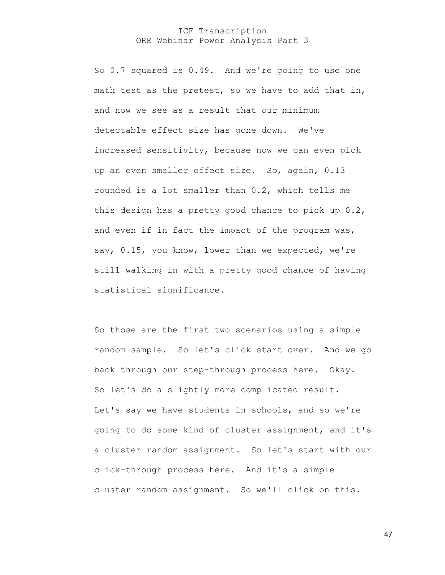So 0.7 squared is 0.49. And we're going to use one math test as the pretest, so we have to add that in, and now we see as a result that our minimum detectable effect size has gone down. We've increased sensitivity, because now we can even pick up an even smaller effect size. So, again, 0.13 rounded is a lot smaller than 0.2, which tells me this design has a pretty good chance to pick up 0.2, and even if in fact the impact of the program was, say, 0.15, you know, lower than we expected, we're still walking in with a pretty good chance of having statistical significance.

 So those are the first two scenarios using a simple random sample. So let's click start over. And we go back through our step-through process here. Okay. So let's do a slightly more complicated result. Let's say we have students in schools, and so we're going to do some kind of cluster assignment, and it's a cluster random assignment. So let's start with our click-through process here. And it's a simple cluster random assignment. So we'll click on this.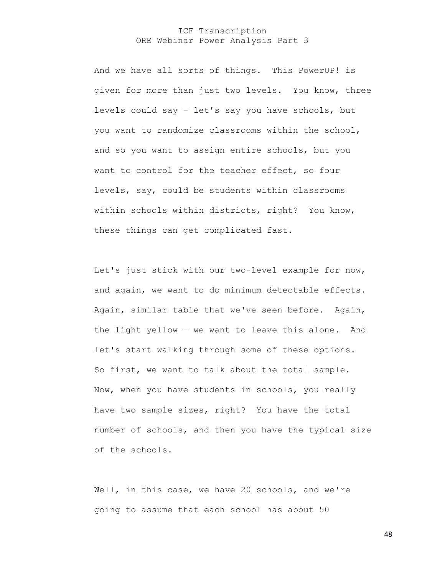And we have all sorts of things. This PowerUP! is given for more than just two levels. You know, three levels could say – let's say you have schools, but you want to randomize classrooms within the school, and so you want to assign entire schools, but you want to control for the teacher effect, so four levels, say, could be students within classrooms within schools within districts, right? You know, these things can get complicated fast.

 Let's just stick with our two-level example for now, and again, we want to do minimum detectable effects. Again, similar table that we've seen before. Again, the light yellow – we want to leave this alone. And let's start walking through some of these options. So first, we want to talk about the total sample. Now, when you have students in schools, you really have two sample sizes, right? You have the total number of schools, and then you have the typical size of the schools.

Well, in this case, we have 20 schools, and we're going to assume that each school has about 50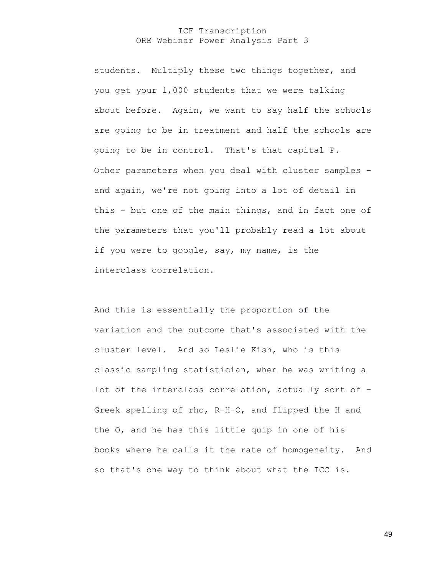students. Multiply these two things together, and you get your 1,000 students that we were talking about before. Again, we want to say half the schools are going to be in treatment and half the schools are going to be in control. That's that capital P. Other parameters when you deal with cluster samples – and again, we're not going into a lot of detail in this – but one of the main things, and in fact one of the parameters that you'll probably read a lot about if you were to google, say, my name, is the interclass correlation.

 And this is essentially the proportion of the variation and the outcome that's associated with the cluster level. And so Leslie Kish, who is this classic sampling statistician, when he was writing a lot of the interclass correlation, actually sort of – Greek spelling of rho, R-H-O, and flipped the H and the O, and he has this little quip in one of his books where he calls it the rate of homogeneity. And so that's one way to think about what the ICC is.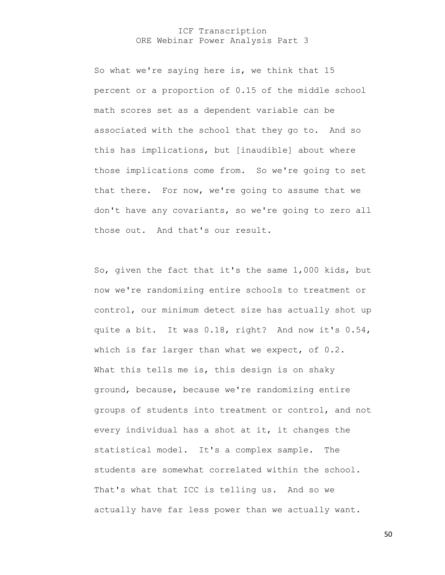So what we're saying here is, we think that 15 percent or a proportion of 0.15 of the middle school math scores set as a dependent variable can be associated with the school that they go to. And so this has implications, but [inaudible] about where those implications come from. So we're going to set that there. For now, we're going to assume that we don't have any covariants, so we're going to zero all those out. And that's our result.

 So, given the fact that it's the same 1,000 kids, but now we're randomizing entire schools to treatment or control, our minimum detect size has actually shot up quite a bit. It was 0.18, right? And now it's 0.54, which is far larger than what we expect, of 0.2. What this tells me is, this design is on shaky ground, because, because we're randomizing entire groups of students into treatment or control, and not every individual has a shot at it, it changes the statistical model. It's a complex sample. The students are somewhat correlated within the school. That's what that ICC is telling us. And so we actually have far less power than we actually want.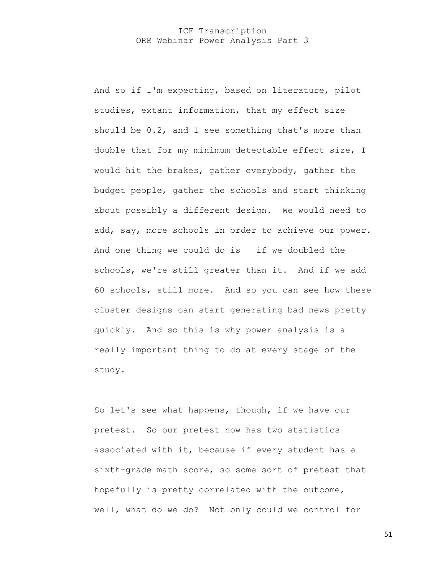And so if I'm expecting, based on literature, pilot studies, extant information, that my effect size should be 0.2, and I see something that's more than double that for my minimum detectable effect size, I would hit the brakes, gather everybody, gather the budget people, gather the schools and start thinking about possibly a different design. We would need to add, say, more schools in order to achieve our power. And one thing we could do is  $-$  if we doubled the schools, we're still greater than it. And if we add 60 schools, still more. And so you can see how these cluster designs can start generating bad news pretty quickly. And so this is why power analysis is a really important thing to do at every stage of the study.

 So let's see what happens, though, if we have our pretest. So our pretest now has two statistics associated with it, because if every student has a sixth-grade math score, so some sort of pretest that hopefully is pretty correlated with the outcome, well, what do we do? Not only could we control for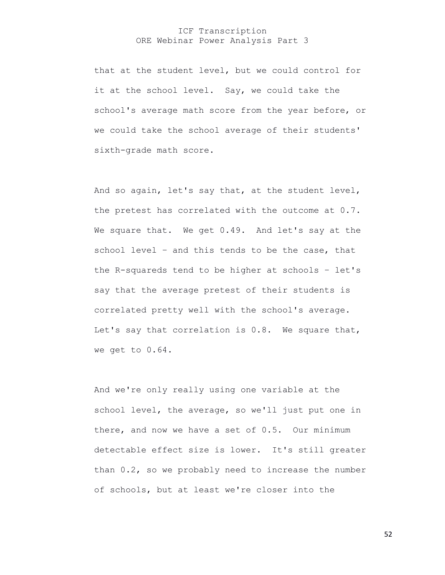that at the student level, but we could control for it at the school level. Say, we could take the school's average math score from the year before, or we could take the school average of their students' sixth-grade math score.

 And so again, let's say that, at the student level, the pretest has correlated with the outcome at 0.7. We square that. We get 0.49. And let's say at the school level - and this tends to be the case, that the R-squareds tend to be higher at schools – let's say that the average pretest of their students is correlated pretty well with the school's average. Let's say that correlation is 0.8. We square that, we get to 0.64.

 And we're only really using one variable at the school level, the average, so we'll just put one in there, and now we have a set of 0.5. Our minimum detectable effect size is lower. It's still greater than 0.2, so we probably need to increase the number of schools, but at least we're closer into the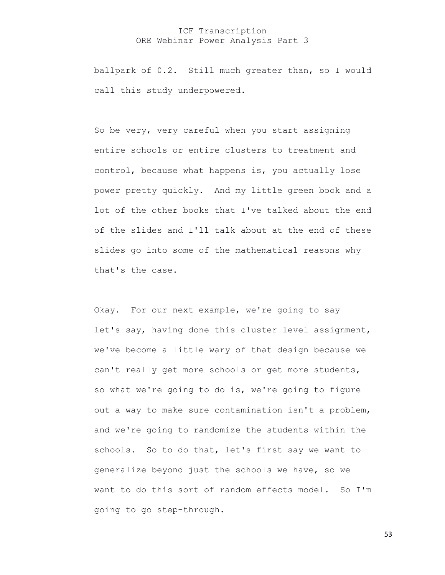ballpark of 0.2. Still much greater than, so I would call this study underpowered.

 So be very, very careful when you start assigning entire schools or entire clusters to treatment and control, because what happens is, you actually lose power pretty quickly. And my little green book and a lot of the other books that I've talked about the end of the slides and I'll talk about at the end of these slides go into some of the mathematical reasons why that's the case.

 Okay. For our next example, we're going to say – let's say, having done this cluster level assignment, we've become a little wary of that design because we can't really get more schools or get more students, so what we're going to do is, we're going to figure out a way to make sure contamination isn't a problem, and we're going to randomize the students within the schools. So to do that, let's first say we want to generalize beyond just the schools we have, so we want to do this sort of random effects model. So I'm going to go step-through.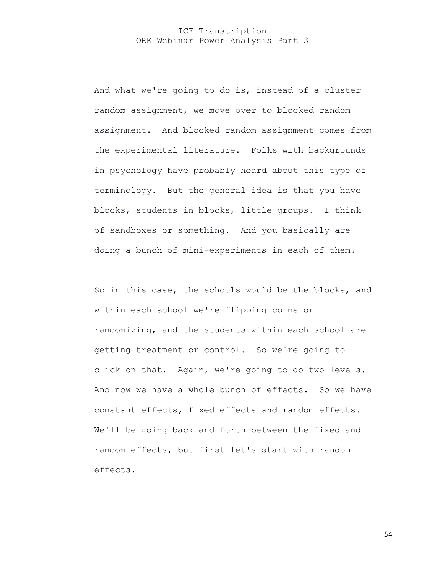And what we're going to do is, instead of a cluster random assignment, we move over to blocked random assignment. And blocked random assignment comes from the experimental literature. Folks with backgrounds in psychology have probably heard about this type of terminology. But the general idea is that you have blocks, students in blocks, little groups. I think of sandboxes or something. And you basically are doing a bunch of mini-experiments in each of them.

 So in this case, the schools would be the blocks, and within each school we're flipping coins or randomizing, and the students within each school are getting treatment or control. So we're going to click on that. Again, we're going to do two levels. And now we have a whole bunch of effects. So we have constant effects, fixed effects and random effects. We'll be going back and forth between the fixed and random effects, but first let's start with random effects.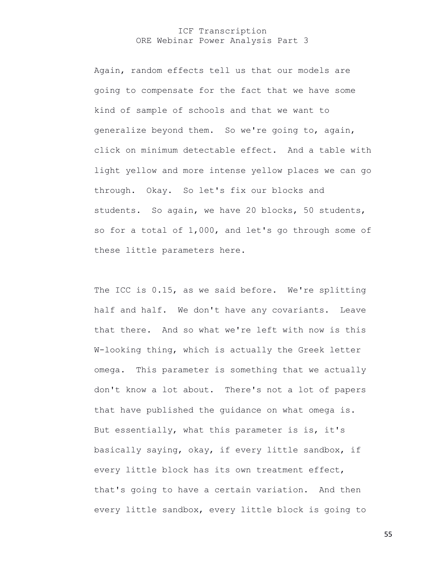Again, random effects tell us that our models are going to compensate for the fact that we have some kind of sample of schools and that we want to generalize beyond them. So we're going to, again, click on minimum detectable effect. And a table with light yellow and more intense yellow places we can go through. Okay. So let's fix our blocks and students. So again, we have 20 blocks, 50 students, so for a total of 1,000, and let's go through some of these little parameters here.

 The ICC is 0.15, as we said before. We're splitting half and half. We don't have any covariants. Leave that there. And so what we're left with now is this W-looking thing, which is actually the Greek letter omega. This parameter is something that we actually don't know a lot about. There's not a lot of papers that have published the guidance on what omega is. But essentially, what this parameter is is, it's basically saying, okay, if every little sandbox, if every little block has its own treatment effect, that's going to have a certain variation. And then every little sandbox, every little block is going to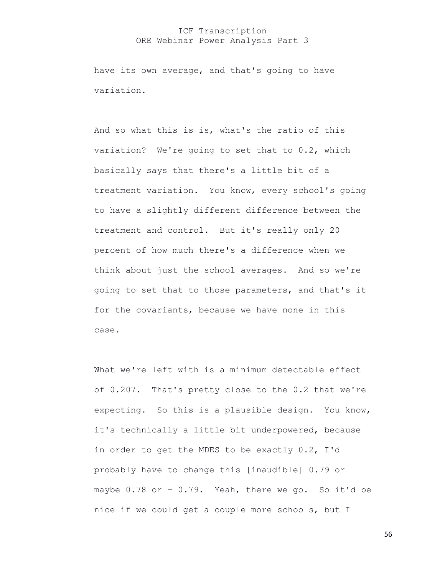have its own average, and that's going to have variation.

 And so what this is is, what's the ratio of this variation? We're going to set that to 0.2, which basically says that there's a little bit of a treatment variation. You know, every school's going to have a slightly different difference between the treatment and control. But it's really only 20 percent of how much there's a difference when we think about just the school averages. And so we're going to set that to those parameters, and that's it for the covariants, because we have none in this case.

 What we're left with is a minimum detectable effect of 0.207. That's pretty close to the 0.2 that we're expecting. So this is a plausible design. You know, it's technically a little bit underpowered, because in order to get the MDES to be exactly 0.2, I'd probably have to change this [inaudible] 0.79 or maybe  $0.78$  or -  $0.79$ . Yeah, there we go. So it'd be nice if we could get a couple more schools, but I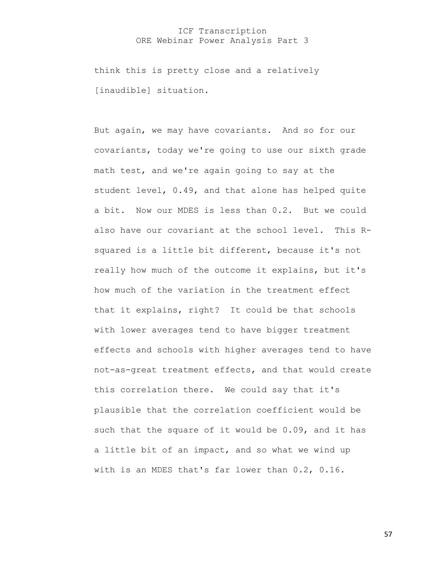think this is pretty close and a relatively [inaudible] situation.

 But again, we may have covariants. And so for our covariants, today we're going to use our sixth grade math test, and we're again going to say at the student level, 0.49, and that alone has helped quite a bit. Now our MDES is less than 0.2. But we could also have our covariant at the school level. This Rsquared is a little bit different, because it's not really how much of the outcome it explains, but it's how much of the variation in the treatment effect that it explains, right? It could be that schools with lower averages tend to have bigger treatment effects and schools with higher averages tend to have not-as-great treatment effects, and that would create this correlation there. We could say that it's plausible that the correlation coefficient would be such that the square of it would be 0.09, and it has a little bit of an impact, and so what we wind up with is an MDES that's far lower than 0.2, 0.16.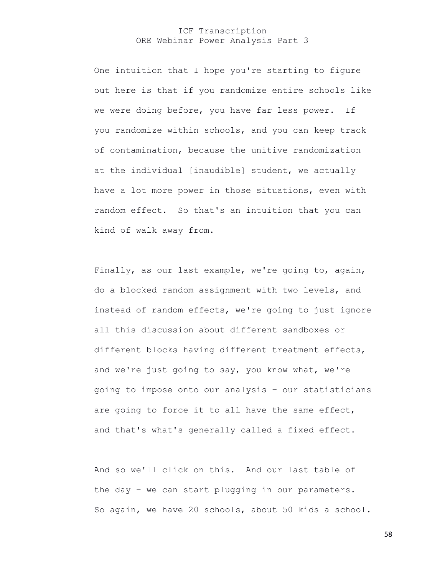One intuition that I hope you're starting to figure out here is that if you randomize entire schools like we were doing before, you have far less power. If you randomize within schools, and you can keep track of contamination, because the unitive randomization at the individual [inaudible] student, we actually have a lot more power in those situations, even with random effect. So that's an intuition that you can kind of walk away from.

 Finally, as our last example, we're going to, again, do a blocked random assignment with two levels, and instead of random effects, we're going to just ignore all this discussion about different sandboxes or different blocks having different treatment effects, and we're just going to say, you know what, we're going to impose onto our analysis – our statisticians are going to force it to all have the same effect, and that's what's generally called a fixed effect.

 And so we'll click on this. And our last table of the day – we can start plugging in our parameters. So again, we have 20 schools, about 50 kids a school.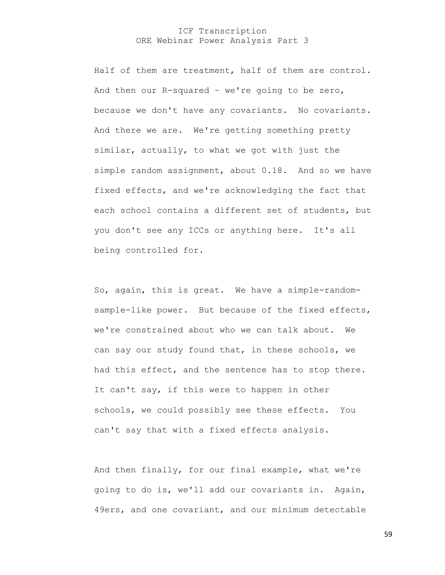Half of them are treatment, half of them are control. And then our R-squared – we're going to be zero, because we don't have any covariants. No covariants. And there we are. We're getting something pretty similar, actually, to what we got with just the simple random assignment, about 0.18. And so we have fixed effects, and we're acknowledging the fact that each school contains a different set of students, but you don't see any ICCs or anything here. It's all being controlled for.

 So, again, this is great. We have a simple-randomsample-like power. But because of the fixed effects, we're constrained about who we can talk about. We can say our study found that, in these schools, we had this effect, and the sentence has to stop there. It can't say, if this were to happen in other schools, we could possibly see these effects. You can't say that with a fixed effects analysis.

 And then finally, for our final example, what we're going to do is, we'll add our covariants in. Again, 49ers, and one covariant, and our minimum detectable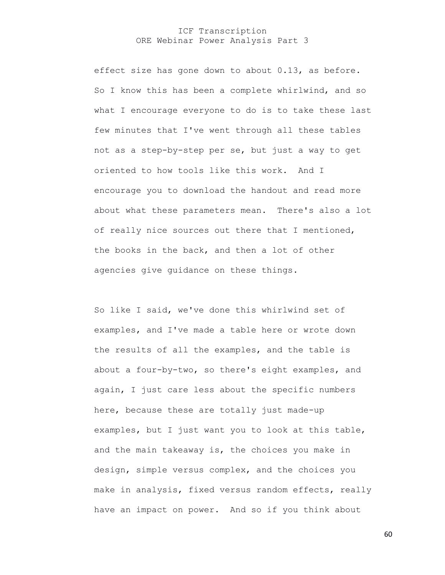effect size has gone down to about 0.13, as before. So I know this has been a complete whirlwind, and so what I encourage everyone to do is to take these last few minutes that I've went through all these tables not as a step-by-step per se, but just a way to get oriented to how tools like this work. And I encourage you to download the handout and read more about what these parameters mean. There's also a lot of really nice sources out there that I mentioned, the books in the back, and then a lot of other agencies give guidance on these things.

 So like I said, we've done this whirlwind set of examples, and I've made a table here or wrote down the results of all the examples, and the table is about a four-by-two, so there's eight examples, and again, I just care less about the specific numbers here, because these are totally just made-up examples, but I just want you to look at this table, and the main takeaway is, the choices you make in design, simple versus complex, and the choices you make in analysis, fixed versus random effects, really have an impact on power. And so if you think about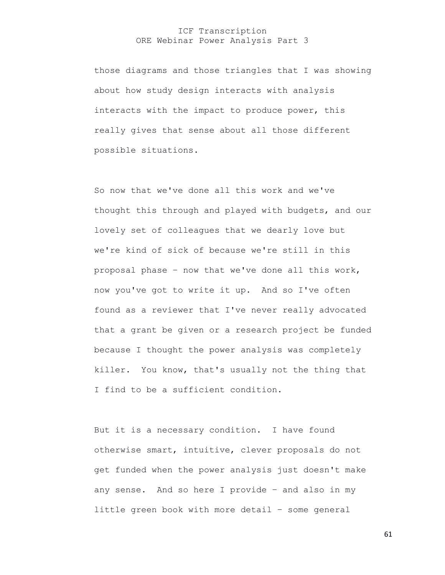those diagrams and those triangles that I was showing about how study design interacts with analysis interacts with the impact to produce power, this really gives that sense about all those different possible situations.

 So now that we've done all this work and we've thought this through and played with budgets, and our lovely set of colleagues that we dearly love but we're kind of sick of because we're still in this proposal phase – now that we've done all this work, now you've got to write it up. And so I've often found as a reviewer that I've never really advocated that a grant be given or a research project be funded because I thought the power analysis was completely killer. You know, that's usually not the thing that I find to be a sufficient condition.

 But it is a necessary condition. I have found otherwise smart, intuitive, clever proposals do not get funded when the power analysis just doesn't make any sense. And so here I provide – and also in my little green book with more detail – some general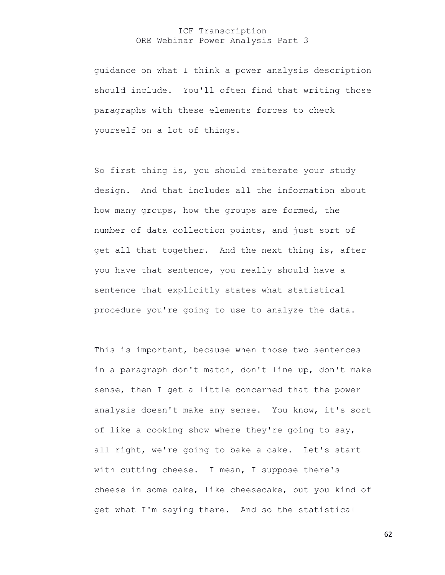guidance on what I think a power analysis description should include. You'll often find that writing those paragraphs with these elements forces to check yourself on a lot of things.

 So first thing is, you should reiterate your study design. And that includes all the information about how many groups, how the groups are formed, the number of data collection points, and just sort of get all that together. And the next thing is, after you have that sentence, you really should have a sentence that explicitly states what statistical procedure you're going to use to analyze the data.

 This is important, because when those two sentences in a paragraph don't match, don't line up, don't make sense, then I get a little concerned that the power analysis doesn't make any sense. You know, it's sort of like a cooking show where they're going to say, all right, we're going to bake a cake. Let's start with cutting cheese. I mean, I suppose there's cheese in some cake, like cheesecake, but you kind of get what I'm saying there. And so the statistical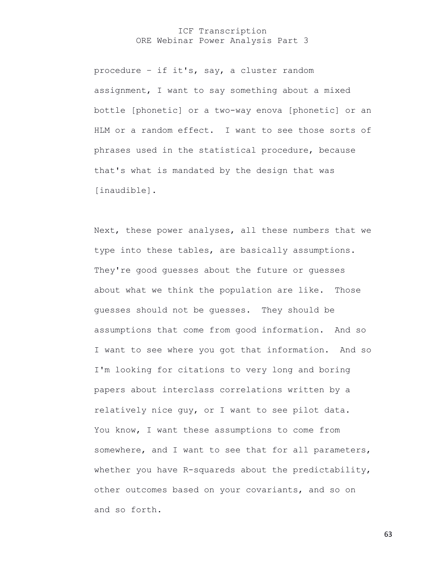procedure – if it's, say, a cluster random assignment, I want to say something about a mixed bottle [phonetic] or a two-way enova [phonetic] or an HLM or a random effect. I want to see those sorts of phrases used in the statistical procedure, because that's what is mandated by the design that was [inaudible].

 Next, these power analyses, all these numbers that we type into these tables, are basically assumptions. They're good guesses about the future or guesses about what we think the population are like. Those guesses should not be guesses. They should be assumptions that come from good information. And so I want to see where you got that information. And so I'm looking for citations to very long and boring papers about interclass correlations written by a relatively nice guy, or I want to see pilot data. You know, I want these assumptions to come from somewhere, and I want to see that for all parameters, whether you have R-squareds about the predictability, other outcomes based on your covariants, and so on and so forth.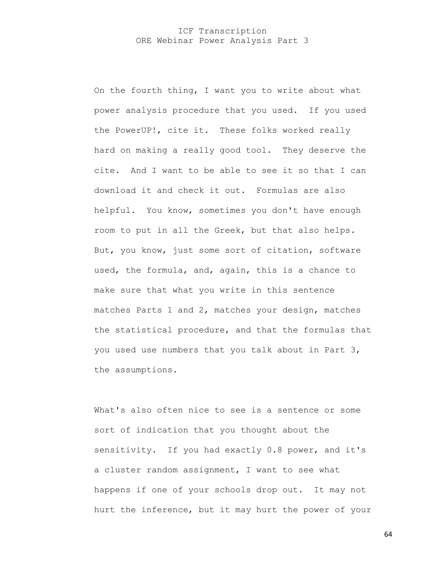On the fourth thing, I want you to write about what power analysis procedure that you used. If you used the PowerUP!, cite it. These folks worked really hard on making a really good tool. They deserve the cite. And I want to be able to see it so that I can download it and check it out. Formulas are also helpful. You know, sometimes you don't have enough room to put in all the Greek, but that also helps. But, you know, just some sort of citation, software used, the formula, and, again, this is a chance to make sure that what you write in this sentence matches Parts 1 and 2, matches your design, matches the statistical procedure, and that the formulas that you used use numbers that you talk about in Part 3, the assumptions.

 What's also often nice to see is a sentence or some sort of indication that you thought about the sensitivity. If you had exactly 0.8 power, and it's a cluster random assignment, I want to see what happens if one of your schools drop out. It may not hurt the inference, but it may hurt the power of your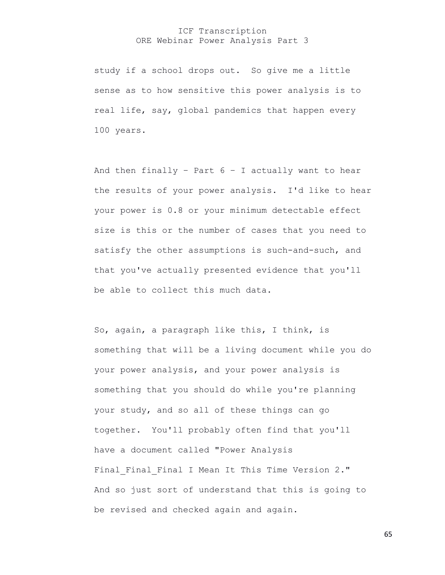study if a school drops out. So give me a little sense as to how sensitive this power analysis is to real life, say, global pandemics that happen every 100 years.

And then finally - Part  $6 - I$  actually want to hear the results of your power analysis. I'd like to hear your power is 0.8 or your minimum detectable effect size is this or the number of cases that you need to satisfy the other assumptions is such-and-such, and that you've actually presented evidence that you'll be able to collect this much data.

 So, again, a paragraph like this, I think, is something that will be a living document while you do your power analysis, and your power analysis is something that you should do while you're planning your study, and so all of these things can go together. You'll probably often find that you'll have a document called "Power Analysis Final Final Final I Mean It This Time Version 2." And so just sort of understand that this is going to be revised and checked again and again.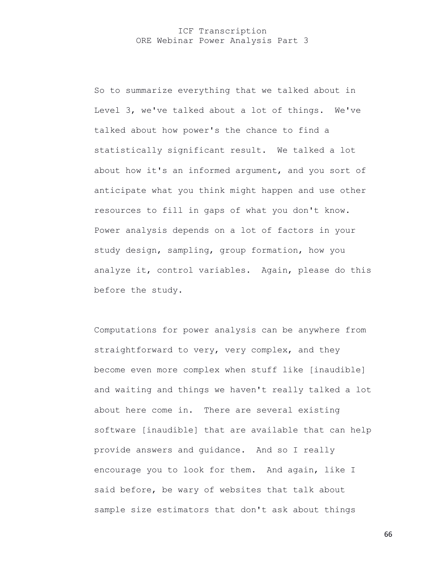So to summarize everything that we talked about in Level 3, we've talked about a lot of things. We've talked about how power's the chance to find a statistically significant result. We talked a lot about how it's an informed argument, and you sort of anticipate what you think might happen and use other resources to fill in gaps of what you don't know. Power analysis depends on a lot of factors in your study design, sampling, group formation, how you analyze it, control variables. Again, please do this before the study.

 Computations for power analysis can be anywhere from straightforward to very, very complex, and they become even more complex when stuff like [inaudible] and waiting and things we haven't really talked a lot about here come in. There are several existing software [inaudible] that are available that can help provide answers and guidance. And so I really encourage you to look for them. And again, like I said before, be wary of websites that talk about sample size estimators that don't ask about things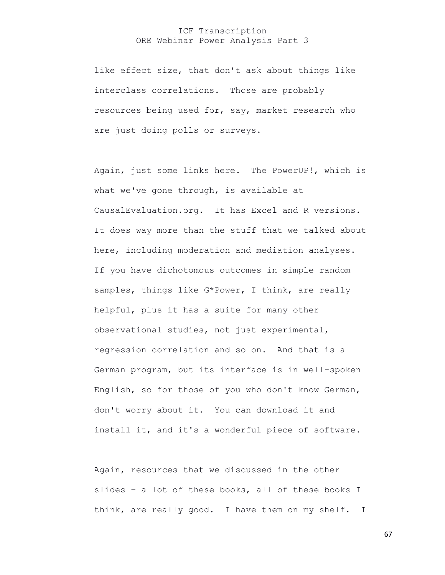like effect size, that don't ask about things like interclass correlations. Those are probably resources being used for, say, market research who are just doing polls or surveys.

 Again, just some links here. The PowerUP!, which is what we've gone through, is available at CausalEvaluation.org. It has Excel and R versions. It does way more than the stuff that we talked about here, including moderation and mediation analyses. If you have dichotomous outcomes in simple random samples, things like G\*Power, I think, are really helpful, plus it has a suite for many other observational studies, not just experimental, regression correlation and so on. And that is a German program, but its interface is in well-spoken English, so for those of you who don't know German, don't worry about it. You can download it and install it, and it's a wonderful piece of software.

 Again, resources that we discussed in the other slides – a lot of these books, all of these books I think, are really good. I have them on my shelf. I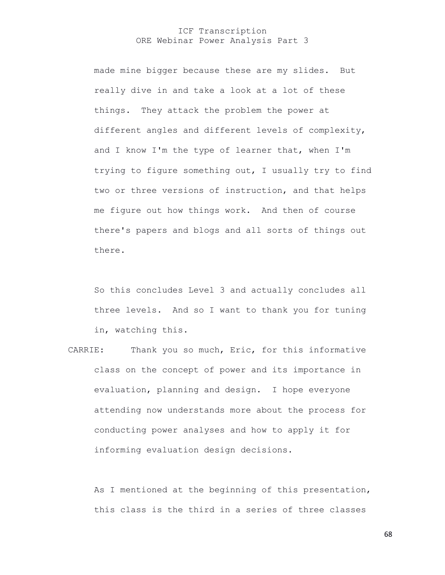made mine bigger because these are my slides. But really dive in and take a look at a lot of these things. They attack the problem the power at different angles and different levels of complexity, and I know I'm the type of learner that, when I'm trying to figure something out, I usually try to find two or three versions of instruction, and that helps me figure out how things work. And then of course there's papers and blogs and all sorts of things out there.

 So this concludes Level 3 and actually concludes all three levels. And so I want to thank you for tuning in, watching this.

CARRIE: Thank you so much, Eric, for this informative class on the concept of power and its importance in evaluation, planning and design. I hope everyone attending now understands more about the process for conducting power analyses and how to apply it for informing evaluation design decisions.

 As I mentioned at the beginning of this presentation, this class is the third in a series of three classes